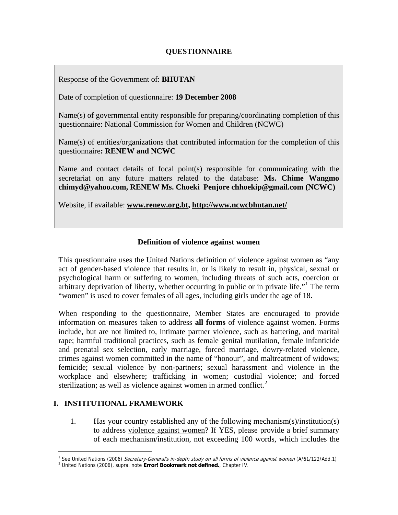#### <span id="page-0-2"></span>Response of the Government of: **BHUTAN**

Date of completion of questionnaire: **19 December 2008** 

Name(s) of governmental entity responsible for preparing/coordinating completion of this questionnaire: National Commission for Women and Children (NCWC)

Name(s) of entities/organizations that contributed information for the completion of this questionnaire**: RENEW and NCWC** 

Name and contact details of focal point(s) responsible for communicating with the secretariat on any future matters related to the database: **Ms. Chime Wangmo chimyd@yahoo.com, RENEW Ms. Choeki Penjore chhoekip@gmail.com (NCWC)** 

Website, if available: **[www.renew.org.bt,](http://www.renew.org.bt/) <http://www.ncwcbhutan.net/>**

#### **Definition of violence against women**

This questionnaire uses the United Nations definition of violence against women as "any act of gender-based violence that results in, or is likely to result in, physical, sexual or psychological harm or suffering to women, including threats of such acts, coercion or arbitrary deprivation of liberty, whether occurring in public or in private life."<sup>[1](#page-0-0)</sup> The term "women" is used to cover females of all ages, including girls under the age of 18.

When responding to the questionnaire, Member States are encouraged to provide information on measures taken to address **all forms** of violence against women. Forms include, but are not limited to, intimate partner violence, such as battering, and marital rape; harmful traditional practices, such as female genital mutilation, female infanticide and prenatal sex selection, early marriage, forced marriage, dowry-related violence, crimes against women committed in the name of "honour", and maltreatment of widows; femicide; sexual violence by non-partners; sexual harassment and violence in the workplace and elsewhere; trafficking in women; custodial violence; and forced sterilization; as well as violence against women in armed conflict. $2$ 

# **I. INSTITUTIONAL FRAMEWORK**

i<br>Li

1. Has [your country](#page-2-0) established any of the following mechanism(s)/institution(s) to address [violence against women](#page-0-2)? If YES, please provide a brief summary of each mechanism/institution, not exceeding 100 words, which includes the

<sup>&</sup>lt;sup>1</sup> See United Nations (2006) *Secretary-General's in-depth study on all forms of violence against women* (A/61/122/Add.1)<br><sup>2</sup> United Nations (2006), supra .psto **Errori Bookmark not defined** .Chapter IV

<span id="page-0-1"></span><span id="page-0-0"></span>United Nations (2006), supra. note **Error! Bookmark not defined.**, Chapter IV.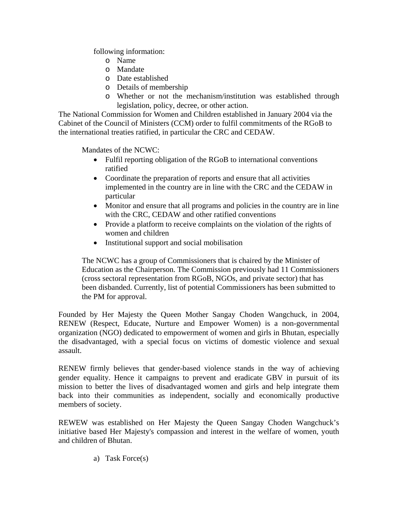following information:

- o Name
- o Mandate
- o Date established
- o Details of membership
- o Whether or not the mechanism/institution was established through legislation, policy, decree, or other action.

The National Commission for Women and Children established in January 2004 via the Cabinet of the Council of Ministers (CCM) order to fulfil commitments of the RGoB to the international treaties ratified, in particular the CRC and CEDAW.

Mandates of the NCWC:

- Fulfil reporting obligation of the RGoB to international conventions ratified
- Coordinate the preparation of reports and ensure that all activities implemented in the country are in line with the CRC and the CEDAW in particular
- Monitor and ensure that all programs and policies in the country are in line with the CRC, CEDAW and other ratified conventions
- Provide a platform to receive complaints on the violation of the rights of women and children
- Institutional support and social mobilisation

The NCWC has a group of Commissioners that is chaired by the Minister of Education as the Chairperson. The Commission previously had 11 Commissioners (cross sectoral representation from RGoB, NGOs, and private sector) that has been disbanded. Currently, list of potential Commissioners has been submitted to the PM for approval.

Founded by Her Majesty the Queen Mother Sangay Choden Wangchuck, in 2004, RENEW (Respect, Educate, Nurture and Empower Women) is a non-governmental organization (NGO) dedicated to empowerment of women and girls in Bhutan, especially the disadvantaged, with a special focus on victims of domestic violence and sexual assault.

RENEW firmly believes that gender-based violence stands in the way of achieving gender equality. Hence it campaigns to prevent and eradicate GBV in pursuit of its mission to better the lives of disadvantaged women and girls and help integrate them back into their communities as independent, socially and economically productive members of society.

REWEW was established on Her Majesty the Queen Sangay Choden Wangchuck's initiative based Her Majesty's compassion and interest in the welfare of women, youth and children of Bhutan.

a) Task Force(s)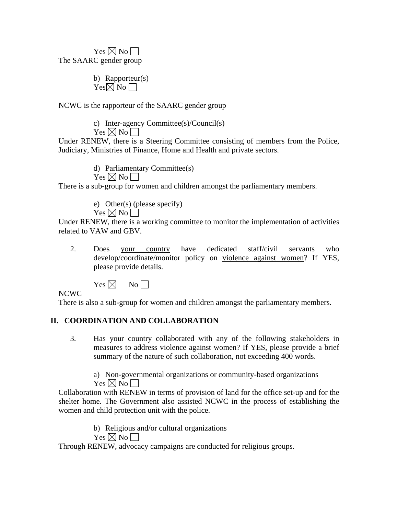<span id="page-2-0"></span> $Yes \boxtimes No \square$ The SAARC gender group

> b) Rapporteur(s)  $Yes \overline{\boxtimes} No \overline{\square}$

NCWC is the rapporteur of the SAARC gender group

c) Inter-agency Committee(s)/Council(s)  $\mathrm{Yes} \boxtimes \mathrm{No} \square$ 

Under RENEW, there is a Steering Committee consisting of members from the Police, Judiciary, Ministries of Finance, Home and Health and private sectors.

> d) Parliamentary Committee(s)  $Yes \boxtimes No \square$

There is a sub-group for women and children amongst the parliamentary members.

e) Other(s) (please specify)  $Yes \boxtimes No \square$ 

Under RENEW, there is a working committee to monitor the implementation of activities related to VAW and GBV.

2. Does [your country](#page-2-0) have dedicated staff/civil servants who develop/coordinate/monitor policy on [violence against women?](#page-0-2) If YES, please provide details.

 $Yes \boxtimes$  No

NCWC

There is also a sub-group for women and children amongst the parliamentary members.

# **II. COORDINATION AND COLLABORATION**

3. Has [your country](#page-2-0) collaborated with any of the following stakeholders in measures to address [violence against women](#page-0-2)? If YES, please provide a brief summary of the nature of such collaboration, not exceeding 400 words.

a) Non-governmental organizations or community-based organizations  $Yes \boxtimes No \square$ 

Collaboration with RENEW in terms of provision of land for the office set-up and for the shelter home. The Government also assisted NCWC in the process of establishing the women and child protection unit with the police.

b) Religious and/or cultural organizations

Yes  $\nabla \mathbb{N}$  No  $\nabla$ 

Through RENEW, advocacy campaigns are conducted for religious groups.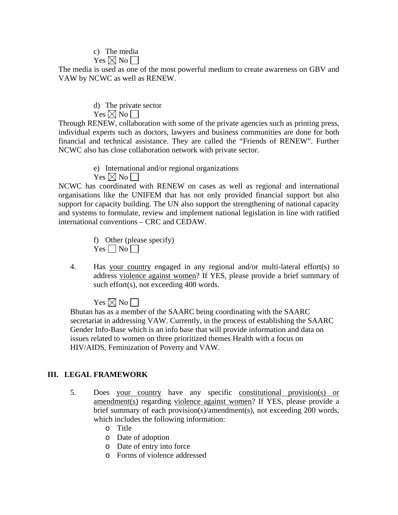# c) The media

Yes  $\boxtimes$  No  $\Box$ 

The media is used as one of the most powerful medium to create awareness on GBV and VAW by NCWC as well as RENEW.

> d) The private sector  $Yes \boxtimes No \square$

Through RENEW, collaboration with some of the private agencies such as printing press, individual experts such as doctors, lawyers and business communities are done for both financial and technical assistance. They are called the "Friends of RENEW". Further NCWC also has close collaboration network with private sector.

> e) International and/or regional organizations  $Yes \boxtimes No \square$

NCWC has coordinated with RENEW on cases as well as regional and international organisations like the UNIFEM that has not only provided financial support but also support for capacity building. The UN also support the strengthening of national capacity and systems to formulate, review and implement national legislation in line with ratified international conventions – CRC and CEDAW.

> f) Other (please specify)  $Yes \Box No \Box$

4. Has [your country](#page-2-0) engaged in any regional and/or multi-lateral effort(s) to address [violence against women?](#page-0-2) If YES, please provide a brief summary of such effort(s), not exceeding 400 words.

 $Yes \bowtie No$  | |

Bhutan has as a member of the SAARC being coordinating with the SAARC secretariat in addressing VAW. Currently, in the process of establishing the SAARC Gender Info-Base which is an info base that will provide information and data on issues related to women on three prioritized themes Health with a focus on HIV/AIDS, Feminization of Poverty and VAW.

# **III. LEGAL FRAMEWORK**

- 5. Does [your country](#page-2-0) have any specific constitutional provision(s) or amendment(s) regarding [violence against women](#page-0-2)? If YES, please provide a brief summary of each provision(s)/amendment(s), not exceeding 200 words, which includes the following information:
	- o Title
	- o Date of adoption
	- o Date of entry into force
	- o Forms of violence addressed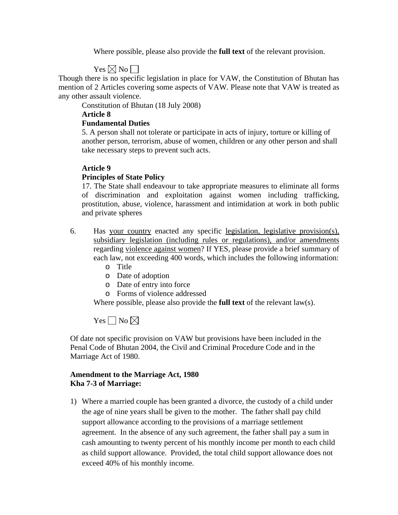Where possible, please also provide the **full text** of the relevant provision.

 $Yes \boxtimes No \square$ 

Though there is no specific legislation in place for VAW, the Constitution of Bhutan has mention of 2 Articles covering some aspects of VAW. Please note that VAW is treated as any other assault violence.

Constitution of Bhutan (18 July 2008)

**Article 8** 

### **Fundamental Duties**

5. A person shall not tolerate or participate in acts of injury, torture or killing of another person, terrorism, abuse of women, children or any other person and shall take necessary steps to prevent such acts.

# **Article 9**

# **Principles of State Policy**

17. The State shall endeavour to take appropriate measures to eliminate all forms of discrimination and exploitation against women including trafficking, prostitution, abuse, violence, harassment and intimidation at work in both public and private spheres

- 6. Has [your country](#page-2-0) enacted any specific legislation, legislative provision(s), subsidiary legislation (including rules or regulations), and/or amendments regarding [violence against women](#page-0-2)? If YES, please provide a brief summary of each law, not exceeding 400 words, which includes the following information:
	- o Title
	- o Date of adoption
	- o Date of entry into force
	- o Forms of violence addressed

Where possible, please also provide the **full text** of the relevant law(s).

Yes  $\Box$  No  $\boxtimes$ 

Of date not specific provision on VAW but provisions have been included in the Penal Code of Bhutan 2004, the Civil and Criminal Procedure Code and in the Marriage Act of 1980.

# **Amendment to the Marriage Act, 1980 Kha 7-3 of Marriage:**

1) Where a married couple has been granted a divorce, the custody of a child under the age of nine years shall be given to the mother. The father shall pay child support allowance according to the provisions of a marriage settlement agreement. In the absence of any such agreement, the father shall pay a sum in cash amounting to twenty percent of his monthly income per month to each child as child support allowance. Provided, the total child support allowance does not exceed 40% of his monthly income.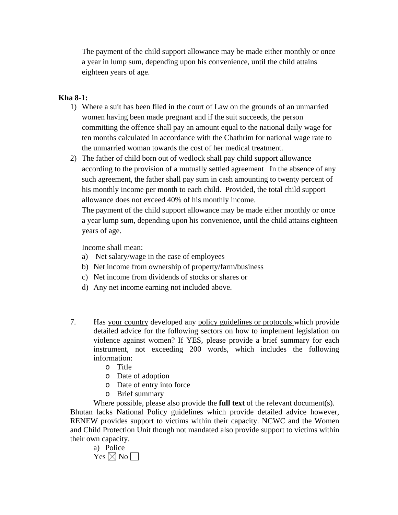The payment of the child support allowance may be made either monthly or once a year in lump sum, depending upon his convenience, until the child attains eighteen years of age.

#### **Kha 8-1:**

- 1) Where a suit has been filed in the court of Law on the grounds of an unmarried women having been made pregnant and if the suit succeeds, the person committing the offence shall pay an amount equal to the national daily wage for ten months calculated in accordance with the Chathrim for national wage rate to the unmarried woman towards the cost of her medical treatment.
- 2) The father of child born out of wedlock shall pay child support allowance according to the provision of a mutually settled agreement In the absence of any such agreement, the father shall pay sum in cash amounting to twenty percent of his monthly income per month to each child. Provided, the total child support allowance does not exceed 40% of his monthly income.

The payment of the child support allowance may be made either monthly or once a year lump sum, depending upon his convenience, until the child attains eighteen years of age.

Income shall mean:

- a) Net salary/wage in the case of employees
- b) Net income from ownership of property/farm/business
- c) Net income from dividends of stocks or shares or
- d) Any net income earning not included above.
- 7. Has [your country](#page-2-0) developed any policy guidelines or protocols which provide detailed advice for the following sectors on how to implement legislation on [violence against women?](#page-0-2) If YES, please provide a brief summary for each instrument, not exceeding 200 words, which includes the following information:
	- o Title
	- o Date of adoption
	- o Date of entry into force
	- o Brief summary
	- Where possible, please also provide the **full text** of the relevant document(s).

Bhutan lacks National Policy guidelines which provide detailed advice however, RENEW provides support to victims within their capacity. NCWC and the Women and Child Protection Unit though not mandated also provide support to victims within their own capacity.

a) Police  $Yes \boxtimes No \square$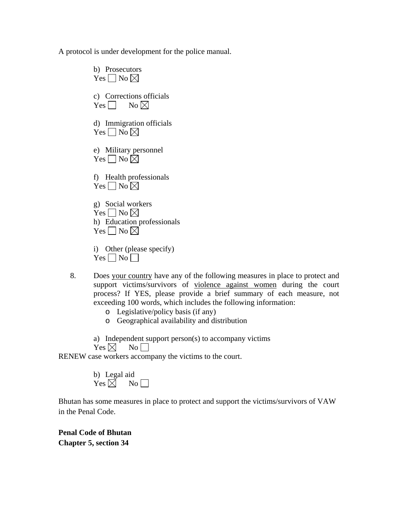A protocol is under development for the police manual.

b) Prosecutors  $Yes \Box No \boxtimes$ c) Corrections officials Yes  $\Box$  No  $\boxtimes$ d) Immigration officials Yes  $\Box$  No  $\boxtimes$ e) Military personnel Yes  $\neg$  No  $\not\boxtimes$ f) Health professionals Yes  $\neg$  No  $\neg$ g) Social workers Yes  $\neg$  No  $\neg$ h) Education professionals Yes  $\neg$  No  $\neg$ i) Other (please specify)

 $Yes \Box No \Box$ 

- 8. Does [your country](#page-2-0) have any of the following measures in place to protect and support victims/survivors of [violence against women](#page-0-2) during the court process? If YES, please provide a brief summary of each measure, not exceeding 100 words, which includes the following information:
	- o Legislative/policy basis (if any)
	- o Geographical availability and distribution
	- a) Independent support person(s) to accompany victims

 $Yes \boxtimes$  No

RENEW case workers accompany the victims to the court.

b) Legal aid  $Yes \boxtimes$  No

Bhutan has some measures in place to protect and support the victims/survivors of VAW in the Penal Code.

**Penal Code of Bhutan Chapter 5, section 34**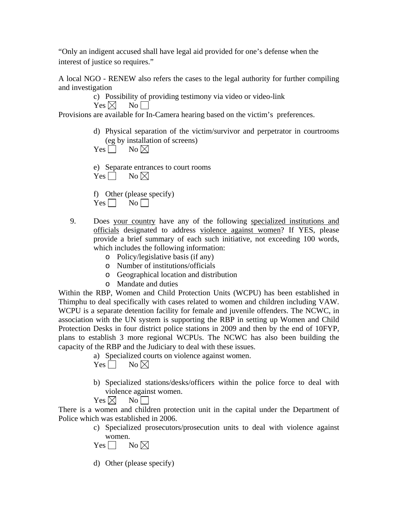"Only an indigent accused shall have legal aid provided for one's defense when the interest of justice so requires."

A local NGO - RENEW also refers the cases to the legal authority for further compiling and investigation

c) Possibility of providing testimony via video or video-link

 $Yes \boxtimes$  No

Provisions are available for In-Camera hearing based on the victim's preferences.

d) Physical separation of the victim/survivor and perpetrator in courtrooms (eg by installation of screens)

 $Yes \Box No \boxtimes$ 

e) Separate entrances to court rooms  $Yes \Box No \boxtimes$ 

f) Other (please specify)  $Yes \Box No \Box$ 

- 9. Does [your country](#page-2-0) have any of the following specialized institutions and officials designated to address [violence against women](#page-0-2)? If YES, please provide a brief summary of each such initiative, not exceeding 100 words, which includes the following information:
	- o Policy/legislative basis (if any)
	- o Number of institutions/officials
	- o Geographical location and distribution
	- o Mandate and duties

Within the RBP, Women and Child Protection Units (WCPU) has been established in Thimphu to deal specifically with cases related to women and children including VAW. WCPU is a separate detention facility for female and juvenile offenders. The NCWC, in association with the UN system is supporting the RBP in setting up Women and Child Protection Desks in four district police stations in 2009 and then by the end of 10FYP, plans to establish 3 more regional WCPUs. The NCWC has also been building the capacity of the RBP and the Judiciary to deal with these issues.

a) Specialized courts on violence against women.

Yes  $\neg$  No  $\neg$ 

b) Specialized stations/desks/officers within the police force to deal with violence against women.

 $Yes \boxtimes \neg No \Box$ 

There is a women and children protection unit in the capital under the Department of Police which was established in 2006.

- c) Specialized prosecutors/prosecution units to deal with violence against women.
- Yes  $\Box$  No  $\boxtimes$
- d) Other (please specify)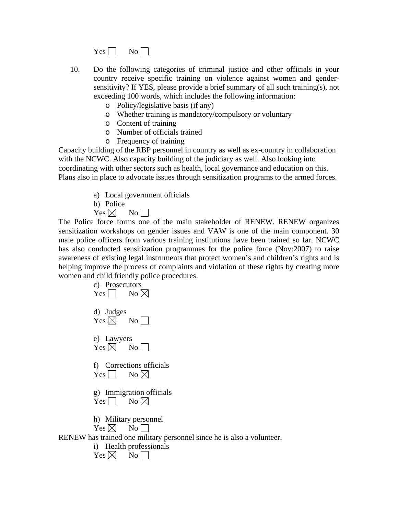$Yes \Box No \Box$ 

- 10. Do the following categories of criminal justice and other officials in [your](#page-2-0)  [country](#page-2-0) receive specific training on [violence against women](#page-0-2) and gendersensitivity? If YES, please provide a brief summary of all such training(s), not exceeding 100 words, which includes the following information:
	- o Policy/legislative basis (if any)
	- o Whether training is mandatory/compulsory or voluntary
	- o Content of training
	- o Number of officials trained
	- o Frequency of training

Capacity building of the RBP personnel in country as well as ex-country in collaboration with the NCWC. Also capacity building of the judiciary as well. Also looking into coordinating with other sectors such as health, local governance and education on this. Plans also in place to advocate issues through sensitization programs to the armed forces.

- a) Local government officials
- b) Police
- $Yes \boxtimes$  No

The Police force forms one of the main stakeholder of RENEW. RENEW organizes sensitization workshops on gender issues and VAW is one of the main component. 30 male police officers from various training institutions have been trained so far. NCWC has also conducted sensitization programmes for the police force (Nov:2007) to raise awareness of existing legal instruments that protect women's and children's rights and is helping improve the process of complaints and violation of these rights by creating more women and child friendly police procedures.

|            | c) Prosecutors<br>Yes $\Box$ No $\boxtimes$                                                                           |
|------------|-----------------------------------------------------------------------------------------------------------------------|
| d) Judges  | $Yes \boxtimes \qquad No \square$                                                                                     |
| e) Lawyers | $Yes \boxtimes$ No                                                                                                    |
|            | f) Corrections officials<br>Yes $\Box$ No $\boxtimes$                                                                 |
| $Yes \Box$ | g) Immigration officials<br>No $\boxtimes$                                                                            |
|            | h) Military personnel<br>$Yes \boxtimes$ No<br>RENEW has trained one military personnel since he is also a volunteer. |
| $\rm i)$   | <b>Health professionals</b>                                                                                           |

 $Yes \boxtimes \text{No}$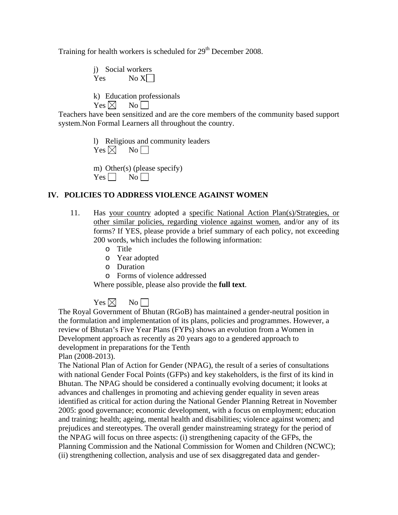Training for health workers is scheduled for 29<sup>th</sup> December 2008.

j) Social workers  $Yes$  No  $X$ 

k) Education professionals  $Yes \boxtimes \text{No} \square$ 

Teachers have been sensitized and are the core members of the community based support system.Non Formal Learners all throughout the country.

> l) Religious and community leaders  $Yes \boxtimes$  No

m) Other(s) (please specify)  $Yes \Box No \Box$ 

#### **IV. POLICIES TO ADDRESS VIOLENCE AGAINST WOMEN**

- 11. Has [your country](#page-2-0) adopted a specific National Action Plan(s)/Strategies, or other similar policies, regarding [violence against women](#page-0-2), and/or any of its forms? If YES, please provide a brief summary of each policy, not exceeding 200 words, which includes the following information:
	- o Title
	- o Year adopted
	- o Duration
	- o Forms of violence addressed

Where possible, please also provide the **full text**.

 $Yes \boxtimes \text{No}$  | |

The Royal Government of Bhutan (RGoB) has maintained a gender-neutral position in the formulation and implementation of its plans, policies and programmes. However, a review of Bhutan's Five Year Plans (FYPs) shows an evolution from a Women in Development approach as recently as 20 years ago to a gendered approach to development in preparations for the Tenth

Plan (2008-2013).

The National Plan of Action for Gender (NPAG), the result of a series of consultations with national Gender Focal Points (GFPs) and key stakeholders, is the first of its kind in Bhutan. The NPAG should be considered a continually evolving document; it looks at advances and challenges in promoting and achieving gender equality in seven areas identified as critical for action during the National Gender Planning Retreat in November 2005: good governance; economic development, with a focus on employment; education and training; health; ageing, mental health and disabilities; violence against women; and prejudices and stereotypes. The overall gender mainstreaming strategy for the period of the NPAG will focus on three aspects: (i) strengthening capacity of the GFPs, the Planning Commission and the National Commission for Women and Children (NCWC); (ii) strengthening collection, analysis and use of sex disaggregated data and gender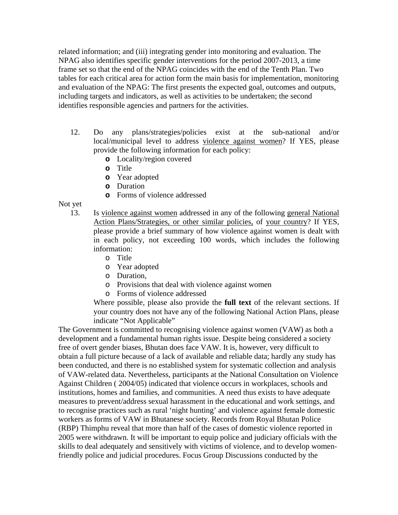related information; and (iii) integrating gender into monitoring and evaluation. The NPAG also identifies specific gender interventions for the period 2007-2013, a time frame set so that the end of the NPAG coincides with the end of the Tenth Plan. Two tables for each critical area for action form the main basis for implementation, monitoring and evaluation of the NPAG: The first presents the expected goal, outcomes and outputs, including targets and indicators, as well as activities to be undertaken; the second identifies responsible agencies and partners for the activities.

- 12. Do any plans/strategies/policies exist at the sub-national and/or local/municipal level to address [violence against women](#page-0-2)? If YES, please provide the following information for each policy:
	- **o** Locality/region covered
	- **o** Title
	- **o** Year adopted
	- **o** Duration
	- **o** Forms of violence addressed

Not yet

- 13. Is [violence against women](#page-0-2) addressed in any of the following general National Action Plans/Strategies, or other similar policies, of [your country](#page-2-0)? If YES, please provide a brief summary of how violence against women is dealt with in each policy, not exceeding 100 words, which includes the following information:
	- o Title
	- o Year adopted
	- o Duration,
	- o Provisions that deal with violence against women
	- o Forms of violence addressed

Where possible, please also provide the **full text** of the relevant sections. If your country does not have any of the following National Action Plans, please indicate "Not Applicable"

The Government is committed to recognising violence against women (VAW) as both a development and a fundamental human rights issue. Despite being considered a society free of overt gender biases, Bhutan does face VAW. It is, however, very difficult to obtain a full picture because of a lack of available and reliable data; hardly any study has been conducted, and there is no established system for systematic collection and analysis of VAW-related data. Nevertheless, participants at the National Consultation on Violence Against Children ( 2004/05) indicated that violence occurs in workplaces, schools and institutions, homes and families, and communities. A need thus exists to have adequate measures to prevent/address sexual harassment in the educational and work settings, and to recognise practices such as rural 'night hunting' and violence against female domestic workers as forms of VAW in Bhutanese society. Records from Royal Bhutan Police (RBP) Thimphu reveal that more than half of the cases of domestic violence reported in 2005 were withdrawn. It will be important to equip police and judiciary officials with the skills to deal adequately and sensitively with victims of violence, and to develop womenfriendly police and judicial procedures. Focus Group Discussions conducted by the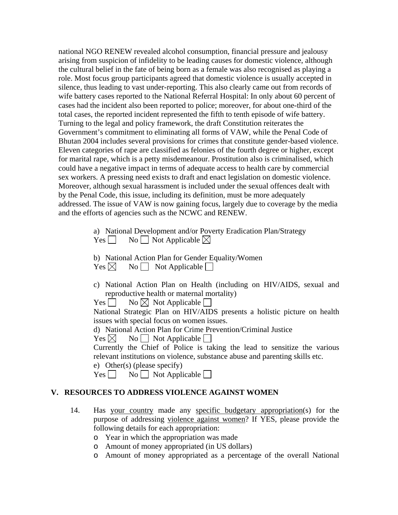national NGO RENEW revealed alcohol consumption, financial pressure and jealousy arising from suspicion of infidelity to be leading causes for domestic violence, although the cultural belief in the fate of being born as a female was also recognised as playing a role. Most focus group participants agreed that domestic violence is usually accepted in silence, thus leading to vast under-reporting. This also clearly came out from records of wife battery cases reported to the National Referral Hospital: In only about 60 percent of cases had the incident also been reported to police; moreover, for about one-third of the total cases, the reported incident represented the fifth to tenth episode of wife battery. Turning to the legal and policy framework, the draft Constitution reiterates the Government's commitment to eliminating all forms of VAW, while the Penal Code of Bhutan 2004 includes several provisions for crimes that constitute gender-based violence. Eleven categories of rape are classified as felonies of the fourth degree or higher, except for marital rape, which is a petty misdemeanour. Prostitution also is criminalised, which could have a negative impact in terms of adequate access to health care by commercial sex workers. A pressing need exists to draft and enact legislation on domestic violence. Moreover, although sexual harassment is included under the sexual offences dealt with by the Penal Code, this issue, including its definition, must be more adequately addressed. The issue of VAW is now gaining focus, largely due to coverage by the media and the efforts of agencies such as the NCWC and RENEW.

> a) National Development and/or Poverty Eradication Plan/Strategy  $Yes \Box$  No  $\Box$  Not Applicable  $\boxtimes$

b) National Action Plan for Gender Equality/Women  $Yes \boxtimes \text{No} \square$  Not Applicable

- c) National Action Plan on Health (including on HIV/AIDS, sexual and reproductive health or maternal mortality)
- $Yes \Box \qquad No \boxtimes No$  Applicable  $\Box$

National Strategic Plan on HIV/AIDS presents a holistic picture on health issues with special focus on women issues.

d) National Action Plan for Crime Prevention/Criminal Justice

 $Yes \boxtimes \text{No} \square$  Not Applicable  $\square$ 

Currently the Chief of Police is taking the lead to sensitize the various relevant institutions on violence, substance abuse and parenting skills etc.

e) Other(s) (please specify)

 $Yes \t No \t No$  Not Applicable

#### **V. RESOURCES TO ADDRESS VIOLENCE AGAINST WOMEN**

- 14. Has [your country](#page-2-0) made any specific budgetary appropriation(s) for the purpose of addressing [violence against women](#page-0-2)? If YES, please provide the following details for each appropriation:
	- o Year in which the appropriation was made
	- o Amount of money appropriated (in US dollars)
	- o Amount of money appropriated as a percentage of the overall National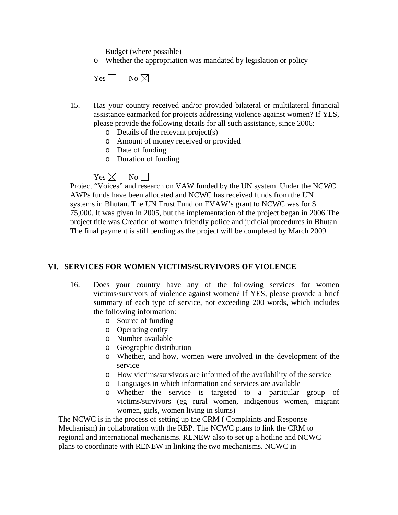Budget (where possible)

o Whether the appropriation was mandated by legislation or policy



- 15. Has [your country](#page-2-0) received and/or provided bilateral or multilateral financial assistance earmarked for projects addressing [violence against women?](#page-0-2) If YES, please provide the following details for all such assistance, since 2006:
	- o Details of the relevant project(s)
	- o Amount of money received or provided
	- o Date of funding
	- o Duration of funding

 $Yes \boxtimes$  No

Project "Voices" and research on VAW funded by the UN system. Under the NCWC AWPs funds have been allocated and NCWC has received funds from the UN systems in Bhutan. The UN Trust Fund on EVAW's grant to NCWC was for \$ 75,000. It was given in 2005, but the implementation of the project began in 2006.The project title was Creation of women friendly police and judicial procedures in Bhutan. The final payment is still pending as the project will be completed by March 2009

#### **VI. SERVICES FOR WOMEN VICTIMS/SURVIVORS OF VIOLENCE**

- 16. Does [your country](#page-2-0) have any of the following services for women victims/survivors of [violence against women?](#page-0-2) If YES, please provide a brief summary of each type of service, not exceeding 200 words, which includes the following information:
	- o Source of funding
	- o Operating entity
	- o Number available
	- o Geographic distribution
	- o Whether, and how, women were involved in the development of the service
	- o How victims/survivors are informed of the availability of the service
	- o Languages in which information and services are available
	- o Whether the service is targeted to a particular group of victims/survivors (eg rural women, indigenous women, migrant women, girls, women living in slums)

The NCWC is in the process of setting up the CRM ( Complaints and Response Mechanism) in collaboration with the RBP. The NCWC plans to link the CRM to regional and international mechanisms. RENEW also to set up a hotline and NCWC plans to coordinate with RENEW in linking the two mechanisms. NCWC in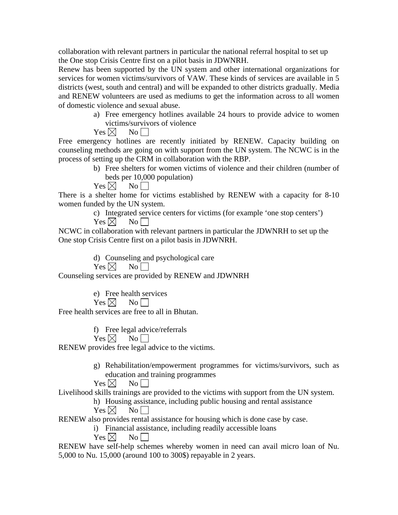collaboration with relevant partners in particular the national referral hospital to set up the One stop Crisis Centre first on a pilot basis in JDWNRH.

Renew has been supported by the UN system and other international organizations for services for women victims/survivors of VAW. These kinds of services are available in 5 districts (west, south and central) and will be expanded to other districts gradually. Media and RENEW volunteers are used as mediums to get the information across to all women of domestic violence and sexual abuse.

a) Free emergency hotlines available 24 hours to provide advice to women victims/survivors of violence

 $Yes \boxtimes \neg No \Box$ 

Free emergency hotlines are recently initiated by RENEW. Capacity building on counseling methods are going on with support from the UN system. The NCWC is in the process of setting up the CRM in collaboration with the RBP.

> b) Free shelters for women victims of violence and their children (number of beds per 10,000 population)

 $Yes \boxtimes \qquad No \Box$ 

There is a shelter home for victims established by RENEW with a capacity for 8-10 women funded by the UN system.

> c) Integrated service centers for victims (for example 'one stop centers')  $Yes \boxtimes$  No

NCWC in collaboration with relevant partners in particular the JDWNRH to set up the One stop Crisis Centre first on a pilot basis in JDWNRH.

d) Counseling and psychological care

$$
\mathrm{Yes} \boxtimes \quad \ \ \mathrm{No} \ \Box
$$

Counseling services are provided by RENEW and JDWNRH

e) Free health services  $Yes \boxtimes$  No

Free health services are free to all in Bhutan.

f) Free legal advice/referrals

 $Yes \boxtimes \qquad No \Box$ 

RENEW provides free legal advice to the victims.

g) Rehabilitation/empowerment programmes for victims/survivors, such as education and training programmes

 $Yes \boxtimes$  No

Livelihood skills trainings are provided to the victims with support from the UN system.

h) Housing assistance, including public housing and rental assistance

 $Yes \boxtimes$  No

RENEW also provides rental assistance for housing which is done case by case.

i) Financial assistance, including readily accessible loans

 $Yes \boxtimes$  No

RENEW have self-help schemes whereby women in need can avail micro loan of Nu. 5,000 to Nu. 15,000 (around 100 to 300\$) repayable in 2 years.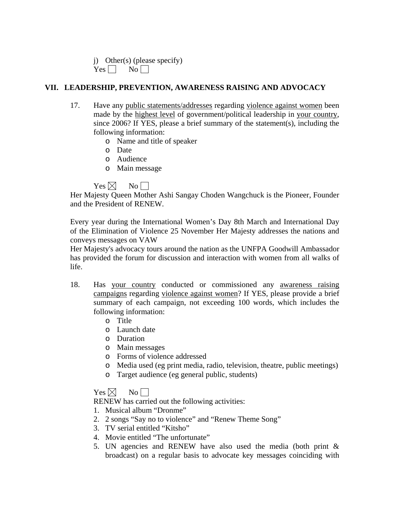|            | j) Other(s) (please specify) |  |
|------------|------------------------------|--|
| $Yes \Box$ | N <sub>0</sub>               |  |

#### **VII. LEADERSHIP, PREVENTION, AWARENESS RAISING AND ADVOCACY**

- 17. Have any public statements/addresses regarding [violence against women](#page-0-2) been made by the highest level of government/political leadership in [your country,](#page-2-0) since 2006? If YES, please a brief summary of the statement(s), including the following information:
	- o Name and title of speaker
	- o Date
	- o Audience
	- o Main message

# $Yes \boxtimes$  No

Her Majesty Queen Mother Ashi Sangay Choden Wangchuck is the Pioneer, Founder and the President of RENEW.

Every year during the International Women's Day 8th March and International Day of the Elimination of Violence 25 November Her Majesty addresses the nations and conveys messages on VAW

Her Majesty's advocacy tours around the nation as the UNFPA Goodwill Ambassador has provided the forum for discussion and interaction with women from all walks of life.

- 18. Has [your country](#page-2-0) conducted or commissioned any awareness raising campaigns regarding [violence against women](#page-0-2)? If YES, please provide a brief summary of each campaign, not exceeding 100 words, which includes the following information:
	- o Title
	- o Launch date
	- o Duration
	- o Main messages
	- o Forms of violence addressed
	- o Media used (eg print media, radio, television, theatre, public meetings)
	- o Target audience (eg general public, students)

# $Yes \boxtimes \qquad No \Box$

RENEW has carried out the following activities:

- 1. Musical album "Dronme"
- 2. 2 songs "Say no to violence" and "Renew Theme Song"
- 3. TV serial entitled "Kitsho"
- 4. Movie entitled "The unfortunate"
- 5. UN agencies and RENEW have also used the media (both print & broadcast) on a regular basis to advocate key messages coinciding with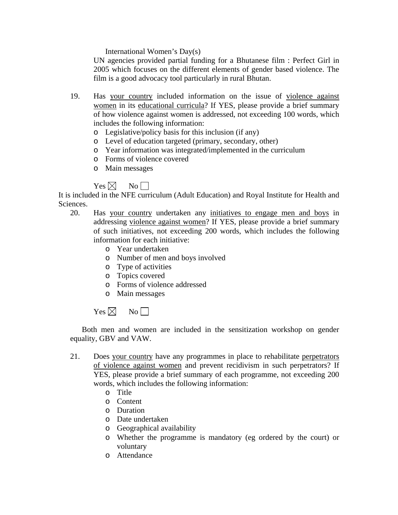International Women's Day(s)

UN agencies provided partial funding for a Bhutanese film : Perfect Girl in 2005 which focuses on the different elements of gender based violence. The film is a good advocacy tool particularly in rural Bhutan.

- 19. Has [your country](#page-2-0) included information on the issue of [violence against](#page-0-2)  [women](#page-0-2) in its educational curricula? If YES, please provide a brief summary of how violence against women is addressed, not exceeding 100 words, which includes the following information:
	- o Legislative/policy basis for this inclusion (if any)
	- o Level of education targeted (primary, secondary, other)
	- o Year information was integrated/implemented in the curriculum
	- o Forms of violence covered
	- o Main messages

# $Yes \boxtimes$  No

It is included in the NFE curriculum (Adult Education) and Royal Institute for Health and Sciences.

- 20. Has [your country](#page-2-0) undertaken any initiatives to engage men and boys in addressing [violence against women?](#page-0-2) If YES, please provide a brief summary of such initiatives, not exceeding 200 words, which includes the following information for each initiative:
	- o Year undertaken
	- o Number of men and boys involved
	- o Type of activities
	- o Topics covered
	- o Forms of violence addressed
	- o Main messages

# $Yes \boxtimes$  No

 Both men and women are included in the sensitization workshop on gender equality, GBV and VAW.

- 21. Does [your country](#page-2-0) have any programmes in place to rehabilitate perpetrators of [violence against women](#page-0-2) and prevent recidivism in such perpetrators? If YES, please provide a brief summary of each programme, not exceeding 200 words, which includes the following information:
	- o Title
	- o Content
	- o Duration
	- o Date undertaken
	- o Geographical availability
	- o Whether the programme is mandatory (eg ordered by the court) or voluntary
	- o Attendance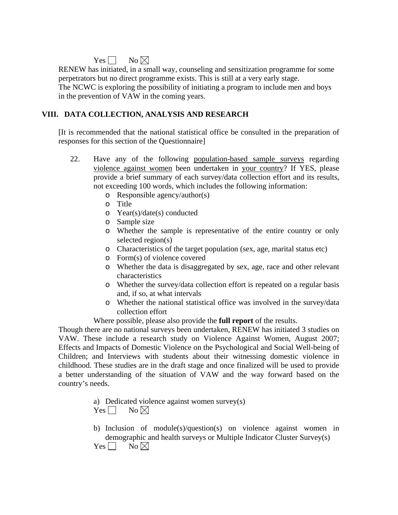# Yes  $\Box$  No  $\boxtimes$

RENEW has initiated, in a small way, counseling and sensitization programme for some perpetrators but no direct programme exists. This is still at a very early stage. The NCWC is exploring the possibility of initiating a program to include men and boys in the prevention of VAW in the coming years.

# **VIII. DATA COLLECTION, ANALYSIS AND RESEARCH**

[It is recommended that the national statistical office be consulted in the preparation of responses for this section of the Questionnaire]

- 22. Have any of the following population-based sample surveys regarding [violence against women](#page-0-2) been undertaken in [your country](#page-2-0)? If YES, please provide a brief summary of each survey/data collection effort and its results, not exceeding 100 words, which includes the following information:
	- o Responsible agency/author(s)
	- o Title
	- o Year(s)/date(s) conducted
	- o Sample size
	- o Whether the sample is representative of the entire country or only selected region(s)
	- o Characteristics of the target population (sex, age, marital status etc)
	- o Form(s) of violence covered
	- o Whether the data is disaggregated by sex, age, race and other relevant characteristics
	- o Whether the survey/data collection effort is repeated on a regular basis and, if so, at what intervals
	- o Whether the national statistical office was involved in the survey/data collection effort

Where possible, please also provide the **full report** of the results.

Though there are no national surveys been undertaken, RENEW has initiated 3 studies on VAW. These include a research study on Violence Against Women, August 2007; Effects and Impacts of Domestic Violence on the Psychological and Social Well-being of Children; and Interviews with students about their witnessing domestic violence in childhood. These studies are in the draft stage and once finalized will be used to provide a better understanding of the situation of VAW and the way forward based on the country's needs.

> a) Dedicated violence against women survey(s)  $Yes \Box No \boxtimes$

b) Inclusion of module(s)/question(s) on violence against women in demographic and health surveys or Multiple Indicator Cluster Survey(s) Yes  $\Box$  No  $\boxtimes$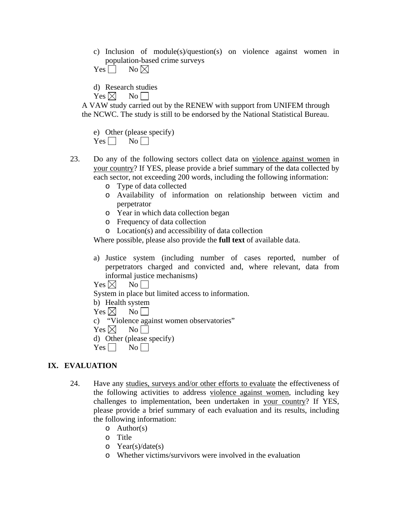c) Inclusion of module(s)/question(s) on violence against women in population-based crime surveys

```
Yes \Box No \boxtimes
```
d) Research studies

 $Yes \boxtimes$  No

A VAW study carried out by the RENEW with support from UNIFEM through the NCWC. The study is still to be endorsed by the National Statistical Bureau.

|            |    |  | e) Other (please specify) |
|------------|----|--|---------------------------|
| $Yes \Box$ | No |  |                           |

- 23. Do any of the following sectors collect data on [violence against women](#page-0-2) in [your country?](#page-2-0) If YES, please provide a brief summary of the data collected by each sector, not exceeding 200 words, including the following information:
	- o Type of data collected
	- o Availability of information on relationship between victim and perpetrator
	- o Year in which data collection began
	- o Frequency of data collection
	- o Location(s) and accessibility of data collection

Where possible, please also provide the **full text** of available data.

a) Justice system (including number of cases reported, number of perpetrators charged and convicted and, where relevant, data from informal justice mechanisms)

 $\mathrm{Yes} \boxtimes \mathrm{No} \square$ System in place but limited access to information. b) Health system  $Yes \boxtimes$  No c) "Violence against women observatories"  $Yes \boxtimes$  No d) Other (please specify)  $Yes \Box No \Box$ 

# **IX. EVALUATION**

- 24. Have any studies, surveys and/or other efforts to evaluate the effectiveness of the following activities to address [violence against women,](#page-0-2) including key challenges to implementation, been undertaken in [your country](#page-2-0)? If YES, please provide a brief summary of each evaluation and its results, including the following information:
	- $\circ$  Author(s)
	- o Title
	- o Year(s)/date(s)
	- o Whether victims/survivors were involved in the evaluation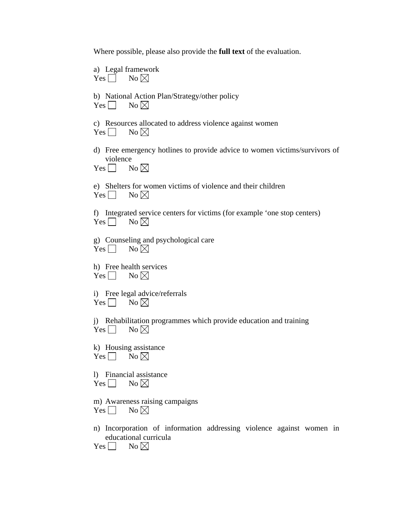Where possible, please also provide the **full text** of the evaluation.

a) Legal framework  $Yes \Box No \boxtimes$ 

|  |                           | b) National Action Plan/Strategy/other policy |
|--|---------------------------|-----------------------------------------------|
|  | Yes $\Box$ No $\boxtimes$ |                                               |

|  |                           | c) Resources allocated to address violence against women |  |  |  |
|--|---------------------------|----------------------------------------------------------|--|--|--|
|  | Yes $\Box$ No $\boxtimes$ |                                                          |  |  |  |

d) Free emergency hotlines to provide advice to women victims/survivors of violence  $Yes \Box No \boxtimes$ 

e) Shelters for women victims of violence and their children Yes  $\Box$  No  $\boxtimes$ 

f) Integrated service centers for victims (for example 'one stop centers) Yes  $\Box$  No  $\boxtimes$ 

g) Counseling and psychological care  $Yes \Box No \boxtimes$ 

h) Free health services Yes  $\Box$  No  $\boxtimes$ 

i) Free legal advice/referrals  $Yes \Box No \boxtimes$ 

j) Rehabilitation programmes which provide education and training  $Yes \Box No \boxtimes$ 

k) Housing assistance  $Yes \Box \qquad No \boxtimes$ 

l) Financial assistance Yes  $\Box$  No  $\boxtimes$ 

m) Awareness raising campaigns  $Yes \Box No \boxtimes$ 

n) Incorporation of information addressing violence against women in educational curricula Yes  $\Box$  No  $\boxtimes$